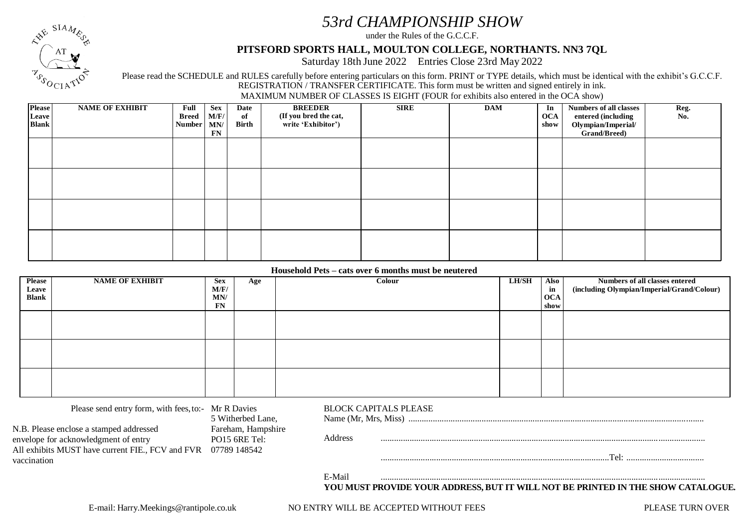# *53rd CHAMPIONSHIP SHOW*

under the Rules of the G.C.C.F.

## **PITSFORD SPORTS HALL, MOULTON COLLEGE, NORTHANTS. NN3 7QL**

Saturday 18th June 2022 Entries Close 23rd May 2022

Please read the SCHEDULE and RULES carefully before entering particulars on this form. PRINT or TYPE details, which must be identical with the exhibit's G.C.C.F. REGISTRATION / TRANSFER CERTIFICATE. This form must be written and signed entirely in ink.

MAXIMUM NUMBER OF CLASSES IS EIGHT (FOUR for exhibits also entered in the OCA show)

| Please<br>Leave<br><b>Blank</b> | <b>NAME OF EXHIBIT</b> | Full<br><b>Breed</b><br><b>Number</b> | <b>Sex</b><br>M/F/<br>MN/<br>FN | Date<br>of<br>Birth | <b>BREEDER</b><br>(If you bred the cat,<br>write 'Exhibitor') | <b>SIRE</b> | <b>DAM</b> | In<br><b>OCA</b><br>show | <b>Numbers of all classes</b><br>entered (including<br>Olympian/Imperial/<br>Grand/Breed) | Reg.<br>No. |
|---------------------------------|------------------------|---------------------------------------|---------------------------------|---------------------|---------------------------------------------------------------|-------------|------------|--------------------------|-------------------------------------------------------------------------------------------|-------------|
|                                 |                        |                                       |                                 |                     |                                                               |             |            |                          |                                                                                           |             |
|                                 |                        |                                       |                                 |                     |                                                               |             |            |                          |                                                                                           |             |
|                                 |                        |                                       |                                 |                     |                                                               |             |            |                          |                                                                                           |             |
|                                 |                        |                                       |                                 |                     |                                                               |             |            |                          |                                                                                           |             |

#### **Household Pets – cats over 6 months must be neutered**

| <b>Please</b><br>Leave<br><b>Blank</b> | <b>NAME OF EXHIBIT</b> | <b>Sex</b><br>M/F/<br>MN/<br>FN | Age | Colour | <b>LH/SH</b> | Also<br>in<br><b>OCA</b><br>show | Numbers of all classes entered<br>(including Olympian/Imperial/Grand/Colour) |
|----------------------------------------|------------------------|---------------------------------|-----|--------|--------------|----------------------------------|------------------------------------------------------------------------------|
|                                        |                        |                                 |     |        |              |                                  |                                                                              |
|                                        |                        |                                 |     |        |              |                                  |                                                                              |
|                                        |                        |                                 |     |        |              |                                  |                                                                              |

| Please send entry form, with fees, to:- Mr R Davies                                                                                 | 5 Witherbed Lane,                                     |  | <b>BLOCK CAPITALS PLEASE</b><br>Name (Mr. Mrs. Miss) |  |  |  |                                                                                  |  |
|-------------------------------------------------------------------------------------------------------------------------------------|-------------------------------------------------------|--|------------------------------------------------------|--|--|--|----------------------------------------------------------------------------------|--|
| N.B. Please enclose a stamped addressed<br>envelope for acknowledgment of entry<br>All exhibits MUST have current FIE., FCV and FVR | Fareham, Hampshire<br>$PO15$ 6RE Tel:<br>07789 148542 |  | Address                                              |  |  |  |                                                                                  |  |
| vaccination                                                                                                                         |                                                       |  |                                                      |  |  |  |                                                                                  |  |
|                                                                                                                                     |                                                       |  | E-Mail                                               |  |  |  | YOU MUST PROVIDE YOUR ADDRESS, BUT IT WILL NOT BE PRINTED IN THE SHOW CATALOGUE. |  |

 $SIA_M$ 

 $0$   $\cap$   $\circ$